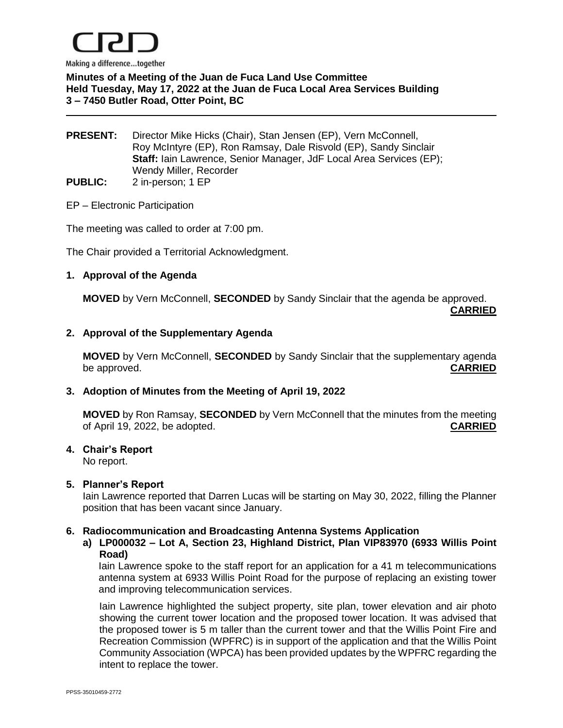

# **Minutes of a Meeting of the Juan de Fuca Land Use Committee Held Tuesday, May 17, 2022 at the Juan de Fuca Local Area Services Building 3 – 7450 Butler Road, Otter Point, BC**

#### **PRESENT:** Director Mike Hicks (Chair), Stan Jensen (EP), Vern McConnell, Roy McIntyre (EP), Ron Ramsay, Dale Risvold (EP), Sandy Sinclair **Staff:** Iain Lawrence, Senior Manager, JdF Local Area Services (EP); Wendy Miller, Recorder **PUBLIC:** 2 in-person; 1 EP

#### EP – Electronic Participation

The meeting was called to order at 7:00 pm.

The Chair provided a Territorial Acknowledgment.

#### **1. Approval of the Agenda**

**MOVED** by Vern McConnell, **SECONDED** by Sandy Sinclair that the agenda be approved.

**CARRIED**

### **2. Approval of the Supplementary Agenda**

**MOVED** by Vern McConnell, **SECONDED** by Sandy Sinclair that the supplementary agenda be approved. **CARRIED**

#### **3. Adoption of Minutes from the Meeting of April 19, 2022**

**MOVED** by Ron Ramsay, **SECONDED** by Vern McConnell that the minutes from the meeting of April 19, 2022, be adopted. **CARRIED**

#### **4. Chair's Report**

No report.

#### **5. Planner's Report**

Iain Lawrence reported that Darren Lucas will be starting on May 30, 2022, filling the Planner position that has been vacant since January.

#### **6. Radiocommunication and Broadcasting Antenna Systems Application**

#### **a) LP000032 – Lot A, Section 23, Highland District, Plan VIP83970 (6933 Willis Point Road)**

Iain Lawrence spoke to the staff report for an application for a 41 m telecommunications antenna system at 6933 Willis Point Road for the purpose of replacing an existing tower and improving telecommunication services.

Iain Lawrence highlighted the subject property, site plan, tower elevation and air photo showing the current tower location and the proposed tower location. It was advised that the proposed tower is 5 m taller than the current tower and that the Willis Point Fire and Recreation Commission (WPFRC) is in support of the application and that the Willis Point Community Association (WPCA) has been provided updates by the WPFRC regarding the intent to replace the tower.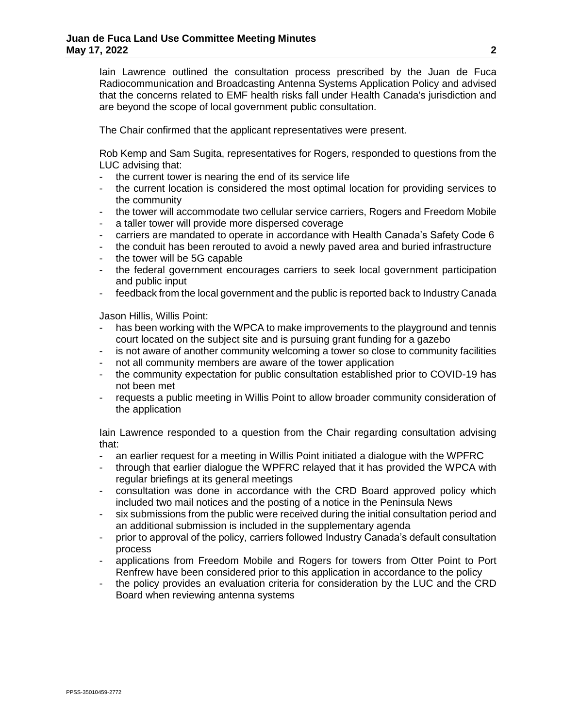Iain Lawrence outlined the consultation process prescribed by the Juan de Fuca Radiocommunication and Broadcasting Antenna Systems Application Policy and advised that the concerns related to EMF health risks fall under Health Canada's jurisdiction and are beyond the scope of local government public consultation.

The Chair confirmed that the applicant representatives were present.

Rob Kemp and Sam Sugita, representatives for Rogers, responded to questions from the LUC advising that:

- the current tower is nearing the end of its service life
- the current location is considered the most optimal location for providing services to the community
- the tower will accommodate two cellular service carriers, Rogers and Freedom Mobile
- a taller tower will provide more dispersed coverage
- carriers are mandated to operate in accordance with Health Canada's Safety Code 6
- the conduit has been rerouted to avoid a newly paved area and buried infrastructure
- the tower will be 5G capable
- the federal government encourages carriers to seek local government participation and public input
- feedback from the local government and the public is reported back to Industry Canada

Jason Hillis, Willis Point:

- has been working with the WPCA to make improvements to the playground and tennis court located on the subject site and is pursuing grant funding for a gazebo
- is not aware of another community welcoming a tower so close to community facilities
- not all community members are aware of the tower application
- the community expectation for public consultation established prior to COVID-19 has not been met
- requests a public meeting in Willis Point to allow broader community consideration of the application

Iain Lawrence responded to a question from the Chair regarding consultation advising that:

- an earlier request for a meeting in Willis Point initiated a dialogue with the WPFRC
- through that earlier dialogue the WPFRC relayed that it has provided the WPCA with regular briefings at its general meetings
- consultation was done in accordance with the CRD Board approved policy which included two mail notices and the posting of a notice in the Peninsula News
- six submissions from the public were received during the initial consultation period and an additional submission is included in the supplementary agenda
- prior to approval of the policy, carriers followed Industry Canada's default consultation process
- applications from Freedom Mobile and Rogers for towers from Otter Point to Port Renfrew have been considered prior to this application in accordance to the policy
- the policy provides an evaluation criteria for consideration by the LUC and the CRD Board when reviewing antenna systems